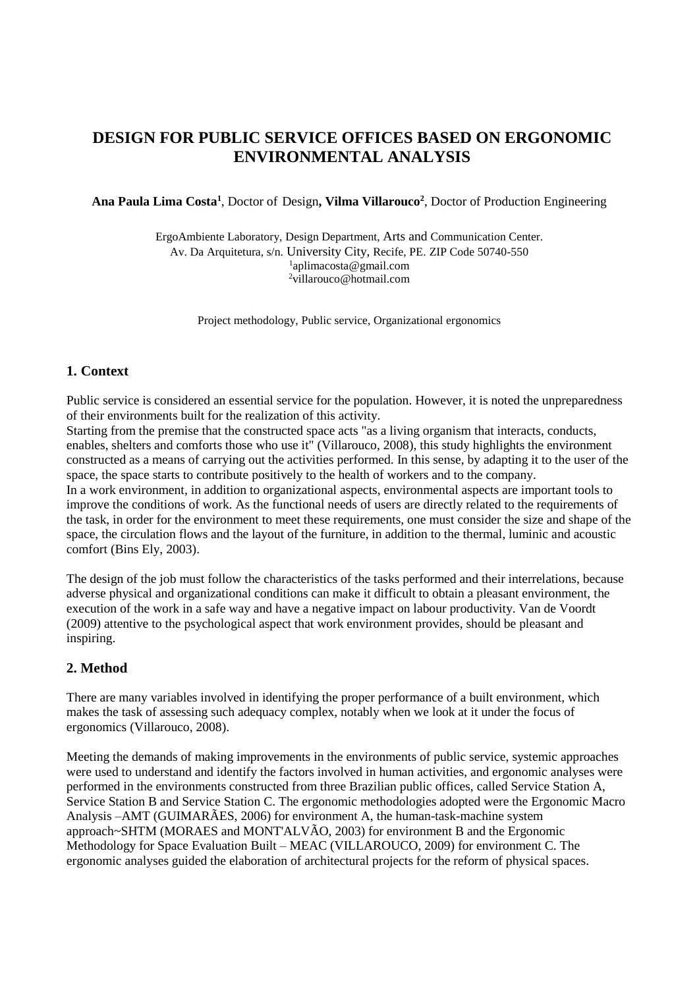# **DESIGN FOR PUBLIC SERVICE OFFICES BASED ON ERGONOMIC ENVIRONMENTAL ANALYSIS**

**Ana Paula Lima Costa<sup>1</sup>** , Doctor of Design**, Vilma Villarouco<sup>2</sup>** , Doctor of Production Engineering

ErgoAmbiente Laboratory, Design Department, Arts and Communication Center. Av. Da Arquitetura, s/n. University City, Recife, PE. ZIP Code 50740-550 1 aplimacosta@gmail.com <sup>2</sup>[villarouco@hotmail.com](mailto:villarouco@hotmail.com) 

Project methodology, Public service, Organizational ergonomics

# **1. Context**

Public service is considered an essential service for the population. However, it is noted the unpreparedness of their environments built for the realization of this activity.

Starting from the premise that the constructed space acts "as a living organism that interacts, conducts, enables, shelters and comforts those who use it" (Villarouco, 2008), this study highlights the environment constructed as a means of carrying out the activities performed. In this sense, by adapting it to the user of the space, the space starts to contribute positively to the health of workers and to the company. In a work environment, in addition to organizational aspects, environmental aspects are important tools to improve the conditions of work. As the functional needs of users are directly related to the requirements of the task, in order for the environment to meet these requirements, one must consider the size and shape of the space, the circulation flows and the layout of the furniture, in addition to the thermal, luminic and acoustic comfort (Bins Ely, 2003).

The design of the job must follow the characteristics of the tasks performed and their interrelations, because adverse physical and organizational conditions can make it difficult to obtain a pleasant environment, the execution of the work in a safe way and have a negative impact on labour productivity. Van de Voordt (2009) attentive to the psychological aspect that work environment provides, should be pleasant and inspiring.

# **2. Method**

There are many variables involved in identifying the proper performance of a built environment, which makes the task of assessing such adequacy complex, notably when we look at it under the focus of ergonomics (Villarouco, 2008).

Meeting the demands of making improvements in the environments of public service, systemic approaches were used to understand and identify the factors involved in human activities, and ergonomic analyses were performed in the environments constructed from three Brazilian public offices, called Service Station A, Service Station B and Service Station C. The ergonomic methodologies adopted were the Ergonomic Macro Analysis –AMT (GUIMARÃES, 2006) for environment A, the human-task-machine system approach~SHTM (MORAES and MONT'ALVÃO, 2003) for environment B and the Ergonomic Methodology for Space Evaluation Built – MEAC (VILLAROUCO, 2009) for environment C. The ergonomic analyses guided the elaboration of architectural projects for the reform of physical spaces.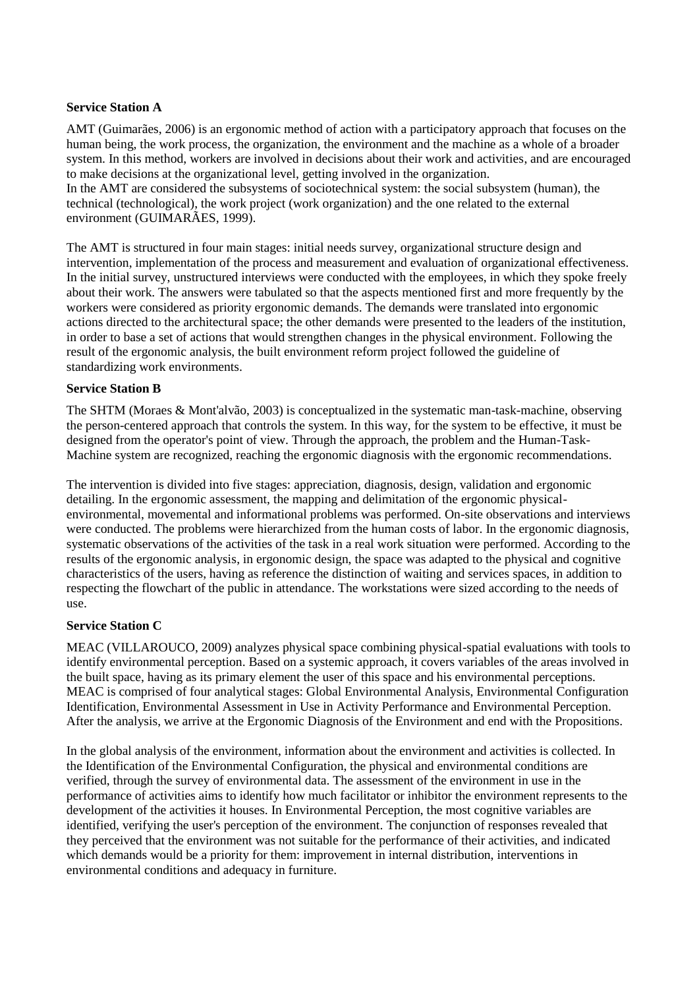### **Service Station A**

AMT (Guimarães, 2006) is an ergonomic method of action with a participatory approach that focuses on the human being, the work process, the organization, the environment and the machine as a whole of a broader system. In this method, workers are involved in decisions about their work and activities, and are encouraged to make decisions at the organizational level, getting involved in the organization.

In the AMT are considered the subsystems of sociotechnical system: the social subsystem (human), the technical (technological), the work project (work organization) and the one related to the external environment (GUIMARÃES, 1999).

The AMT is structured in four main stages: initial needs survey, organizational structure design and intervention, implementation of the process and measurement and evaluation of organizational effectiveness. In the initial survey, unstructured interviews were conducted with the employees, in which they spoke freely about their work. The answers were tabulated so that the aspects mentioned first and more frequently by the workers were considered as priority ergonomic demands. The demands were translated into ergonomic actions directed to the architectural space; the other demands were presented to the leaders of the institution, in order to base a set of actions that would strengthen changes in the physical environment. Following the result of the ergonomic analysis, the built environment reform project followed the guideline of standardizing work environments.

## **Service Station B**

The SHTM (Moraes & Mont'alvão, 2003) is conceptualized in the systematic man-task-machine, observing the person-centered approach that controls the system. In this way, for the system to be effective, it must be designed from the operator's point of view. Through the approach, the problem and the Human-Task-Machine system are recognized, reaching the ergonomic diagnosis with the ergonomic recommendations.

The intervention is divided into five stages: appreciation, diagnosis, design, validation and ergonomic detailing. In the ergonomic assessment, the mapping and delimitation of the ergonomic physicalenvironmental, movemental and informational problems was performed. On-site observations and interviews were conducted. The problems were hierarchized from the human costs of labor. In the ergonomic diagnosis, systematic observations of the activities of the task in a real work situation were performed. According to the results of the ergonomic analysis, in ergonomic design, the space was adapted to the physical and cognitive characteristics of the users, having as reference the distinction of waiting and services spaces, in addition to respecting the flowchart of the public in attendance. The workstations were sized according to the needs of use.

### **Service Station C**

MEAC (VILLAROUCO, 2009) analyzes physical space combining physical-spatial evaluations with tools to identify environmental perception. Based on a systemic approach, it covers variables of the areas involved in the built space, having as its primary element the user of this space and his environmental perceptions. MEAC is comprised of four analytical stages: Global Environmental Analysis, Environmental Configuration Identification, Environmental Assessment in Use in Activity Performance and Environmental Perception. After the analysis, we arrive at the Ergonomic Diagnosis of the Environment and end with the Propositions.

In the global analysis of the environment, information about the environment and activities is collected. In the Identification of the Environmental Configuration, the physical and environmental conditions are verified, through the survey of environmental data. The assessment of the environment in use in the performance of activities aims to identify how much facilitator or inhibitor the environment represents to the development of the activities it houses. In Environmental Perception, the most cognitive variables are identified, verifying the user's perception of the environment. The conjunction of responses revealed that they perceived that the environment was not suitable for the performance of their activities, and indicated which demands would be a priority for them: improvement in internal distribution, interventions in environmental conditions and adequacy in furniture.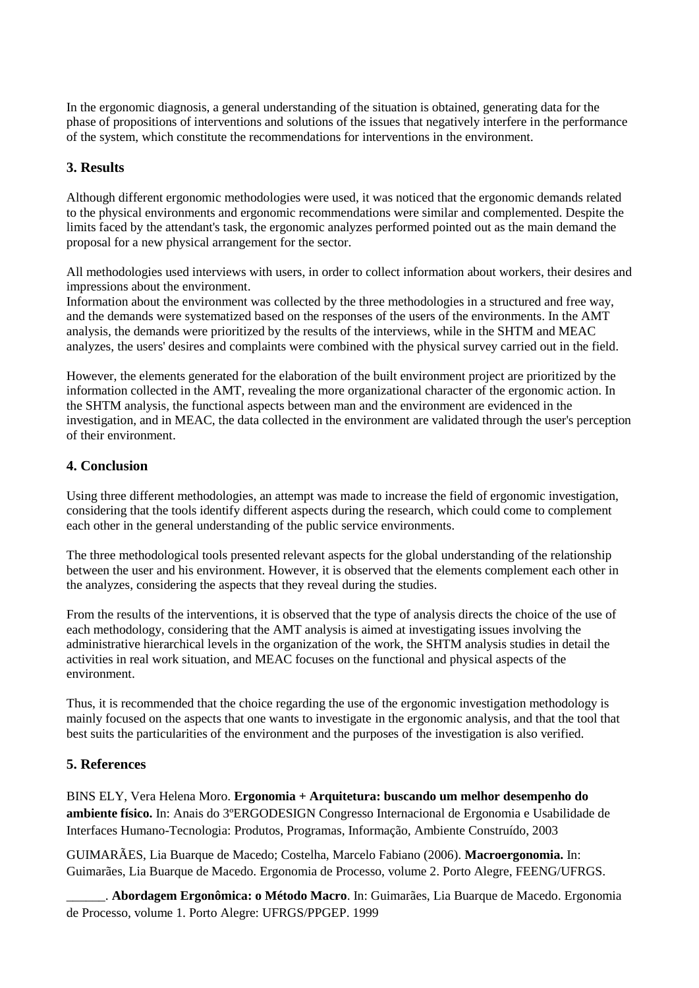In the ergonomic diagnosis, a general understanding of the situation is obtained, generating data for the phase of propositions of interventions and solutions of the issues that negatively interfere in the performance of the system, which constitute the recommendations for interventions in the environment.

# **3. Results**

Although different ergonomic methodologies were used, it was noticed that the ergonomic demands related to the physical environments and ergonomic recommendations were similar and complemented. Despite the limits faced by the attendant's task, the ergonomic analyzes performed pointed out as the main demand the proposal for a new physical arrangement for the sector.

All methodologies used interviews with users, in order to collect information about workers, their desires and impressions about the environment.

Information about the environment was collected by the three methodologies in a structured and free way, and the demands were systematized based on the responses of the users of the environments. In the AMT analysis, the demands were prioritized by the results of the interviews, while in the SHTM and MEAC analyzes, the users' desires and complaints were combined with the physical survey carried out in the field.

However, the elements generated for the elaboration of the built environment project are prioritized by the information collected in the AMT, revealing the more organizational character of the ergonomic action. In the SHTM analysis, the functional aspects between man and the environment are evidenced in the investigation, and in MEAC, the data collected in the environment are validated through the user's perception of their environment.

# **4. Conclusion**

Using three different methodologies, an attempt was made to increase the field of ergonomic investigation, considering that the tools identify different aspects during the research, which could come to complement each other in the general understanding of the public service environments.

The three methodological tools presented relevant aspects for the global understanding of the relationship between the user and his environment. However, it is observed that the elements complement each other in the analyzes, considering the aspects that they reveal during the studies.

From the results of the interventions, it is observed that the type of analysis directs the choice of the use of each methodology, considering that the AMT analysis is aimed at investigating issues involving the administrative hierarchical levels in the organization of the work, the SHTM analysis studies in detail the activities in real work situation, and MEAC focuses on the functional and physical aspects of the environment.

Thus, it is recommended that the choice regarding the use of the ergonomic investigation methodology is mainly focused on the aspects that one wants to investigate in the ergonomic analysis, and that the tool that best suits the particularities of the environment and the purposes of the investigation is also verified.

# **5. References**

BINS ELY, Vera Helena Moro. **Ergonomia + Arquitetura: buscando um melhor desempenho do ambiente físico.** In: Anais do 3ºERGODESIGN Congresso Internacional de Ergonomia e Usabilidade de Interfaces Humano-Tecnologia: Produtos, Programas, Informação, Ambiente Construído, 2003

GUIMARÃES, Lia Buarque de Macedo; Costelha, Marcelo Fabiano (2006). **Macroergonomia.** In: Guimarães, Lia Buarque de Macedo. Ergonomia de Processo, volume 2. Porto Alegre, FEENG/UFRGS.

\_\_\_\_\_\_. **Abordagem Ergonômica: o Método Macro**. In: Guimarães, Lia Buarque de Macedo. Ergonomia de Processo, volume 1. Porto Alegre: UFRGS/PPGEP. 1999